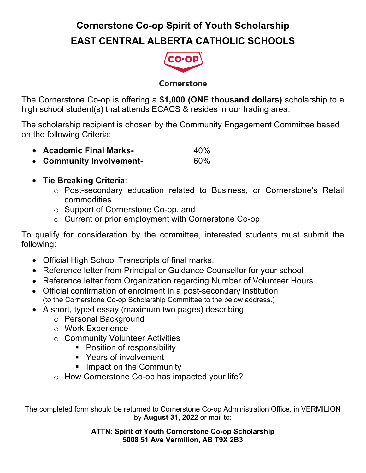## **Cornerstone Co-op Spirit of Youth Scholarship EAST CENTRAL ALBERTA CATHOLIC SCHOOLS**



## Cornerstone

The Cornerstone Co-op is offering a **\$1,000 (ONE thousand dollars)** scholarship to a high school student(s) that attends ECACS & resides in our trading area.

The scholarship recipient is chosen by the Community Engagement Committee based on the following Criteria:

- **Academic Final Marks-** 40%
- **Community Involvement-** 60%

## • **Tie Breaking Criteria**:

- o Post-secondary education related to Business, or Cornerstone's Retail commodities
- o Support of Cornerstone Co-op, and
- o Current or prior employment with Cornerstone Co-op

To qualify for consideration by the committee, interested students must submit the following:

- Official High School Transcripts of final marks.
- Reference letter from Principal or Guidance Counsellor for your school
- Reference letter from Organization regarding Number of Volunteer Hours
- Official confirmation of enrolment in a post-secondary institution (to the Cornerstone Co-op Scholarship Committee to the below address.)
- A short, typed essay (maximum two pages) describing
	- o Personal Background
	- o Work Experience
	- o Community Volunteer Activities
		- Position of responsibility
		- Years of involvement
		- Impact on the Community
	- o How Cornerstone Co-op has impacted your life?

The completed form should be returned to Cornerstone Co-op Administration Office, in VERMILION by **August 31, 2022** or mail to:

> **ATTN: Spirit of Youth Cornerstone Co-op Scholarship 5008 51 Ave Vermilion, AB T9X 2B3**